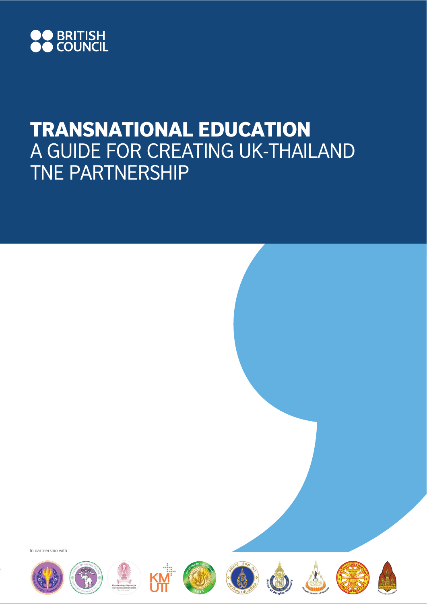

## TRANSNATIONAL EDUCATION A GUIDE FOR CREATING UK-THAILAND TNE PARTNERSHIP

In partnership with















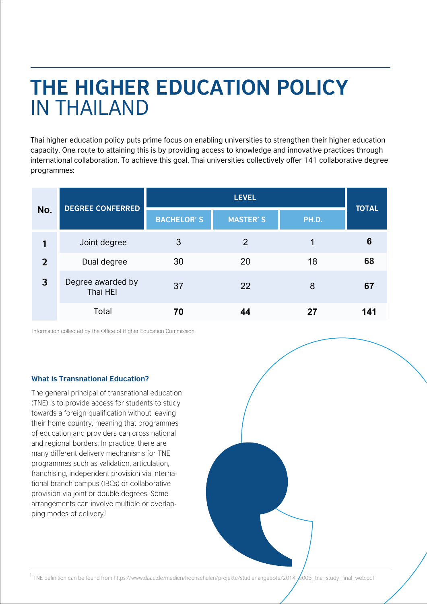# **THE HIGHER EDUCATION POLICY**  IN THAILAND

Thai higher education policy puts prime focus on enabling universities to strengthen their higher education capacity. One route to attaining this is by providing access to knowledge and innovative practices through international collaboration. To achieve this goal, Thai universities collectively offer 141 collaborative degree programmes:

| No.            | <b>DEGREE CONFERRED</b>       | <b>LEVEL</b>      |                 |       | <b>TOTAL</b> |
|----------------|-------------------------------|-------------------|-----------------|-------|--------------|
|                |                               | <b>BACHELOR'S</b> | <b>MASTER'S</b> | PH.D. |              |
|                | Joint degree                  | 3                 | 2               | 1     | 6            |
| $\overline{2}$ | Dual degree                   | 30                | 20              | 18    | 68           |
| 3              | Degree awarded by<br>Thai HEI | 37                | 22              | 8     | 67           |
|                | Total                         | 70                | 44              | 27    | 141          |

Information collected by the Office of Higher Education Commission

#### **What is Transnational Education?**

The general principal of transnational education (TNE) is to provide access for students to study towards a foreign qualification without leaving their home country, meaning that programmes of education and providers can cross national and regional borders. In practice, there are many different delivery mechanisms for TNE programmes such as validation, articulation, franchising, independent provision via international branch campus (IBCs) or collaborative provision via joint or double degrees. Some arrangements can involve multiple or overlapping modes of delivery. 1

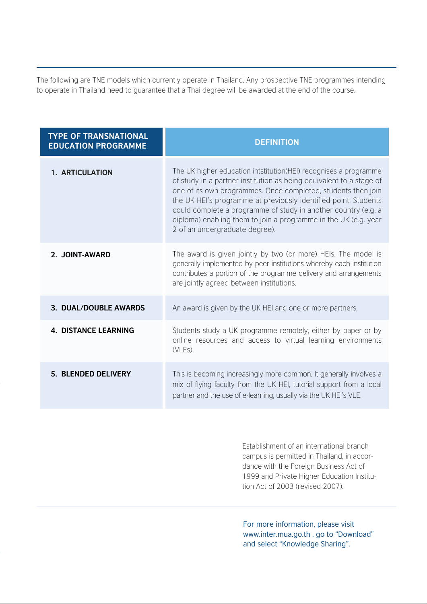The following are TNE models which currently operate in Thailand. Any prospective TNE programmes intending to operate in Thailand need to guarantee that a Thai degree will be awarded at the end of the course.

| <b>TYPE OF TRANSNATIONAL</b><br><b>EDUCATION PROGRAMME</b> | <b>DEFINITION</b>                                                                                                                                                                                                                                                                                                                                                                                                                                   |  |
|------------------------------------------------------------|-----------------------------------------------------------------------------------------------------------------------------------------------------------------------------------------------------------------------------------------------------------------------------------------------------------------------------------------------------------------------------------------------------------------------------------------------------|--|
| <b>1. ARTICULATION</b>                                     | The UK higher education intstitution (HEI) recognises a programme<br>of study in a partner institution as being equivalent to a stage of<br>one of its own programmes. Once completed, students then join<br>the UK HEI's programme at previously identified point. Students<br>could complete a programme of study in another country (e.g. a<br>diploma) enabling them to join a programme in the UK (e.g. year<br>2 of an undergraduate degree). |  |
| 2. JOINT-AWARD                                             | The award is given jointly by two (or more) HEIs. The model is<br>generally implemented by peer institutions whereby each institution<br>contributes a portion of the programme delivery and arrangements<br>are jointly agreed between institutions.                                                                                                                                                                                               |  |
| 3. DUAL/DOUBLE AWARDS                                      | An award is given by the UK HEI and one or more partners.                                                                                                                                                                                                                                                                                                                                                                                           |  |
| <b>4. DISTANCE LEARNING</b>                                | Students study a UK programme remotely, either by paper or by<br>online resources and access to virtual learning environments<br>(VLEs).                                                                                                                                                                                                                                                                                                            |  |
| 5. BLENDED DELIVERY                                        | This is becoming increasingly more common. It generally involves a<br>mix of flying faculty from the UK HEI, tutorial support from a local<br>partner and the use of e-learning, usually via the UK HEI's VLE.                                                                                                                                                                                                                                      |  |

Establishment of an international branch campus is permitted in Thailand, in accordance with the Foreign Business Act of 1999 and Private Higher Education Institution Act of 2003 (revised 2007).

For more information, please visit www.inter.mua.go.th , go to "Download" and select "Knowledge Sharing".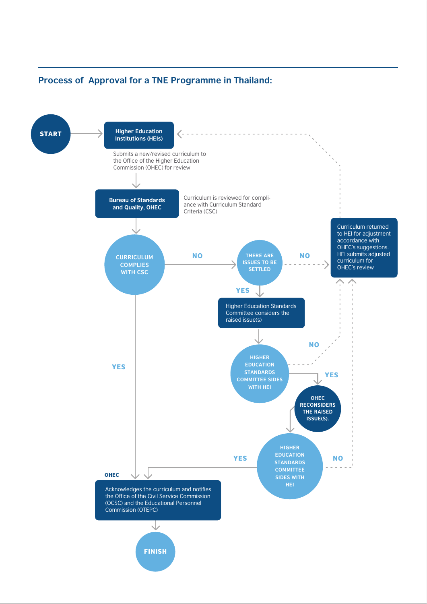### **Process of Approval for a TNE Programme in Thailand:**

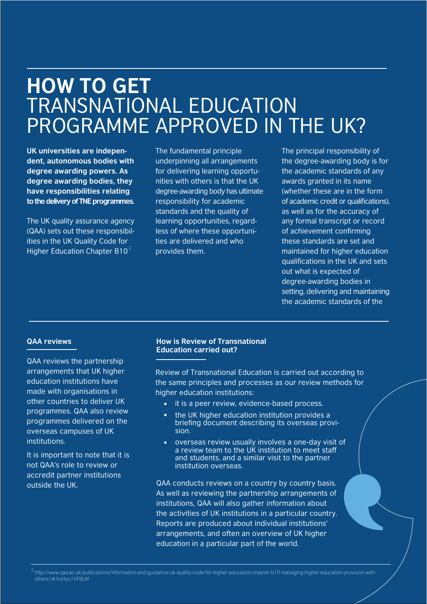### **HOW TO GET**  TRANSNATIONAL EDUCATION PROGRAMME APPROVED IN THE UK?

**UK universities are independent, autonomous bodies with degree awarding powers. As degree awarding bodies, they have responsibilities relating to the delivery of TNE programmes.**

The UK quality assurance agency (QAA) sets out these responsibilities in the UK Quality Code for Higher Education Chapter B10 $^{2}$ 

The fundamental principle underpinning all arrangements for delivering learning opportunities with others is that the UK degree-awarding body has ultimate responsibility for academic standards and the quality of learning opportunities, regardless of where these opportunities are delivered and who provides them.

The principal responsibility of the degree-awarding body is for the academic standards of any awards granted in its name (whether these are in the form of academic credit or qualifications), as well as for the accuracy of any formal transcript or record of achievement confirming these standards are set and maintained for higher education qualifications in the UK and sets out what is expected of degree-awarding bodies in setting, delivering and maintaining the academic standards of the

QAA reviews the partnership arrangements that UK higher education institutions have made with organisations in other countries to deliver UK programmes. QAA also review programmes delivered on the overseas campuses of UK institutions.

It is important to note that it is not QAA's role to review or accredit partner institutions outside the UK.

#### **QAA reviews How is Review of Transnational Education carried out?**

Review of Transnational Education is carried out according to the same principles and processes as our review methods for higher education institutions:

- it is a peer review, evidence-based process.
- the UK higher education institution provides a briefing document describing its overseas provision.
- overseas review usually involves a one-day visit of a review team to the UK institution to meet staff and students, and a similar visit to the partner institution overseas.

QAA conducts reviews on a country by country basis. As well as reviewing the partnership arrangements of institutions, QAA will also gather information about the activities of UK institutions in a particular country. Reports are produced about individual institutions' arrangements, and often an overview of UK higher education in a particular part of the world.

<sup>2</sup>http://www.qaa.ac.uk/publications/information-and-guidance/uk-quality-code-for-higher-education-chapter-b10-managing-higher-education-provision-withothers1#.VuHyu1VFBLM